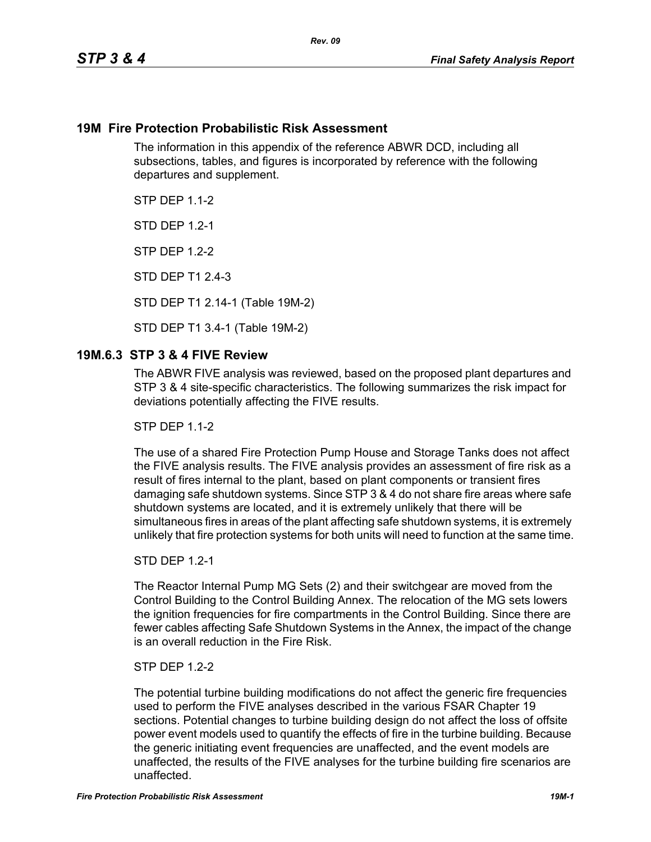## **19M Fire Protection Probabilistic Risk Assessment**

The information in this appendix of the reference ABWR DCD, including all subsections, tables, and figures is incorporated by reference with the following departures and supplement.

**STP DFP 1 1-2** 

**STD DFP 12-1** 

STP DEP 1.2-2

STD DEP T1 2.4-3

STD DEP T1 2.14-1 (Table 19M-2)

STD DEP T1 3.4-1 (Table 19M-2)

## **19M.6.3 STP 3 & 4 FIVE Review**

The ABWR FIVE analysis was reviewed, based on the proposed plant departures and STP 3 & 4 site-specific characteristics. The following summarizes the risk impact for deviations potentially affecting the FIVE results.

**STP DFP 1 1-2** 

The use of a shared Fire Protection Pump House and Storage Tanks does not affect the FIVE analysis results. The FIVE analysis provides an assessment of fire risk as a result of fires internal to the plant, based on plant components or transient fires damaging safe shutdown systems. Since STP 3 & 4 do not share fire areas where safe shutdown systems are located, and it is extremely unlikely that there will be simultaneous fires in areas of the plant affecting safe shutdown systems, it is extremely unlikely that fire protection systems for both units will need to function at the same time.

#### STD DEP 1.2-1

The Reactor Internal Pump MG Sets (2) and their switchgear are moved from the Control Building to the Control Building Annex. The relocation of the MG sets lowers the ignition frequencies for fire compartments in the Control Building. Since there are fewer cables affecting Safe Shutdown Systems in the Annex, the impact of the change is an overall reduction in the Fire Risk.

### STP DEP 1.2-2

The potential turbine building modifications do not affect the generic fire frequencies used to perform the FIVE analyses described in the various FSAR Chapter 19 sections. Potential changes to turbine building design do not affect the loss of offsite power event models used to quantify the effects of fire in the turbine building. Because the generic initiating event frequencies are unaffected, and the event models are unaffected, the results of the FIVE analyses for the turbine building fire scenarios are unaffected.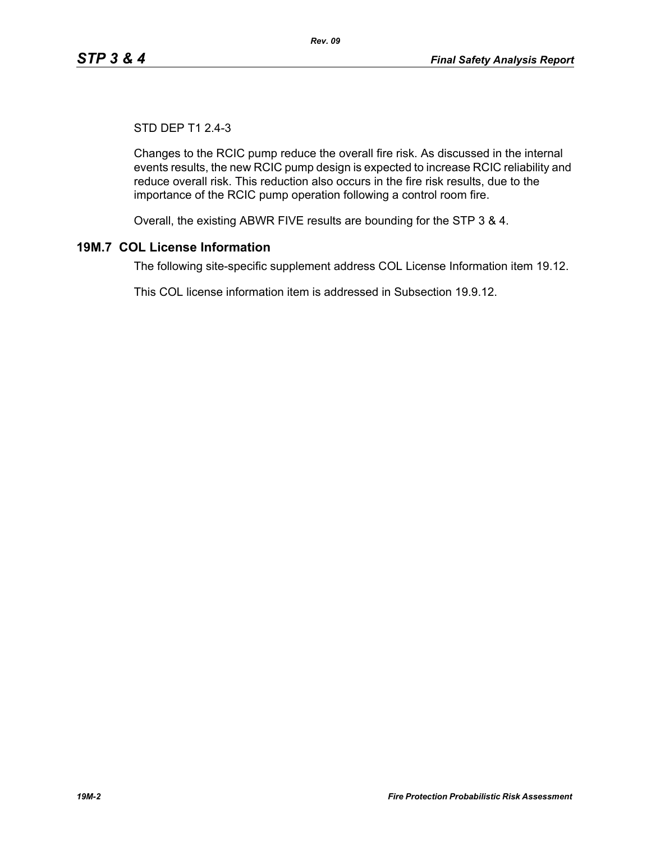# STD DEP T1 2.4-3

Changes to the RCIC pump reduce the overall fire risk. As discussed in the internal events results, the new RCIC pump design is expected to increase RCIC reliability and reduce overall risk. This reduction also occurs in the fire risk results, due to the importance of the RCIC pump operation following a control room fire.

Overall, the existing ABWR FIVE results are bounding for the STP 3 & 4.

# **19M.7 COL License Information**

The following site-specific supplement address COL License Information item 19.12.

This COL license information item is addressed in Subsection 19.9.12.